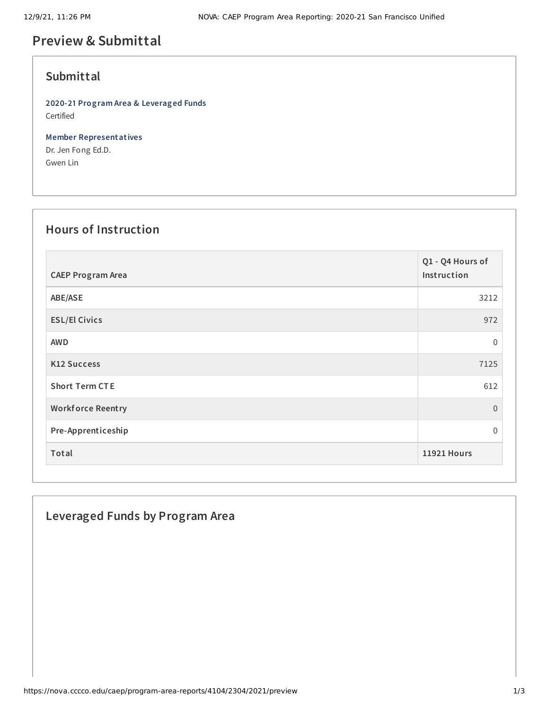# **Preview & Submittal**

### **Submittal**

**2020-21 Program Area & Leveraged Funds** Certified

**Member Representatives** Dr. Jen Fong Ed.D. Gwen Lin

#### **Hours of Instruction**

| <b>CAEP Program Area</b> | Q1 - Q4 Hours of<br>Instruction |
|--------------------------|---------------------------------|
| ABE/ASE                  | 3212                            |
| <b>ESL/El Civics</b>     | 972                             |
| <b>AWD</b>               | $\mathbf 0$                     |
| <b>K12 Success</b>       | 7125                            |
| <b>Short Term CTE</b>    | 612                             |
| <b>Workforce Reentry</b> | $\overline{0}$                  |
| Pre-Apprenticeship       | $\Omega$                        |
| Total                    | <b>11921 Hours</b>              |

### **Leveraged Funds by Program Area**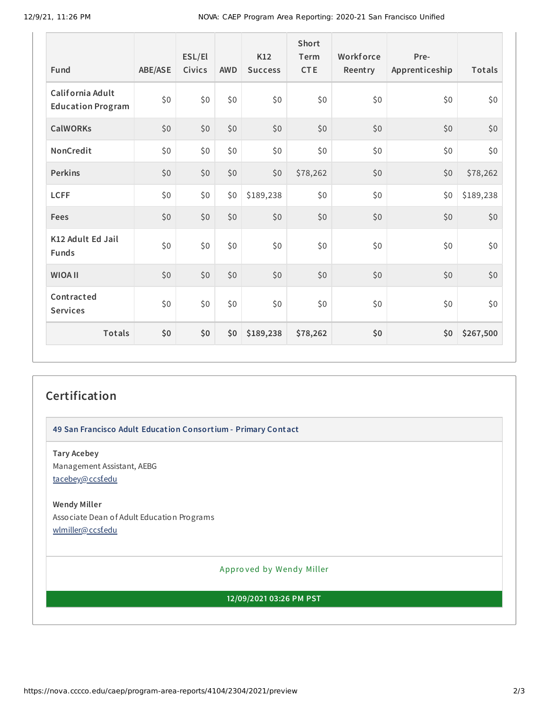| Fund                                         | <b>ABE/ASE</b> | ESL/El<br>Civics | <b>AWD</b> | K12<br><b>Success</b> | <b>Short</b><br>Term<br><b>CTE</b> | Workforce<br>Reentry | Pre-<br>Apprenticeship | Totals    |
|----------------------------------------------|----------------|------------------|------------|-----------------------|------------------------------------|----------------------|------------------------|-----------|
| California Adult<br><b>Education Program</b> | \$0            | \$0              | \$0        | \$0                   | \$0                                | \$0                  | \$0                    | \$0       |
| <b>CalWORKs</b>                              | \$0            | \$0              | \$0        | \$0                   | \$0                                | \$0                  | \$0                    | \$0       |
| NonCredit                                    | \$0            | \$0              | \$0        | \$0                   | \$0                                | \$0                  | \$0                    | \$0       |
| <b>Perkins</b>                               | \$0            | \$0              | \$0        | \$0                   | \$78,262                           | \$0                  | \$0                    | \$78,262  |
| <b>LCFF</b>                                  | \$0            | \$0              | \$0        | \$189,238             | \$0                                | \$0                  | \$0                    | \$189,238 |
| Fees                                         | \$0            | \$0              | \$0        | \$0                   | \$0                                | \$0                  | \$0                    | $$0$$     |
| K12 Adult Ed Jail<br><b>Funds</b>            | \$0            | \$0              | \$0        | \$0                   | \$0                                | \$0                  | \$0                    | \$0       |
| <b>WIOA II</b>                               | \$0            | \$0              | \$0        | \$0                   | \$0                                | \$0                  | \$0                    | \$0       |
| Contracted<br><b>Services</b>                | \$0            | \$0              | \$0        | \$0                   | \$0                                | \$0                  | \$0                    | \$0       |
| Totals                                       | \$0            | \$0              | \$0        | \$189,238             | \$78,262                           | \$0                  | \$0                    | \$267,500 |

## **Certification**

**49 San Francisco Adult Education Consortium - Primary Contact**

**Tary Acebey** Management Assistant, AEBG [tacebey@ccsf.edu](mailto:tacebey@ccsf.edu)

#### **Wendy Miller**

Associate Dean of Adult Education Programs [wlmiller@ccsf.edu](mailto:wlmiller@ccsf.edu)

Appro ved by Wendy Miller

#### **12/09/2021 03:26 PM PST**